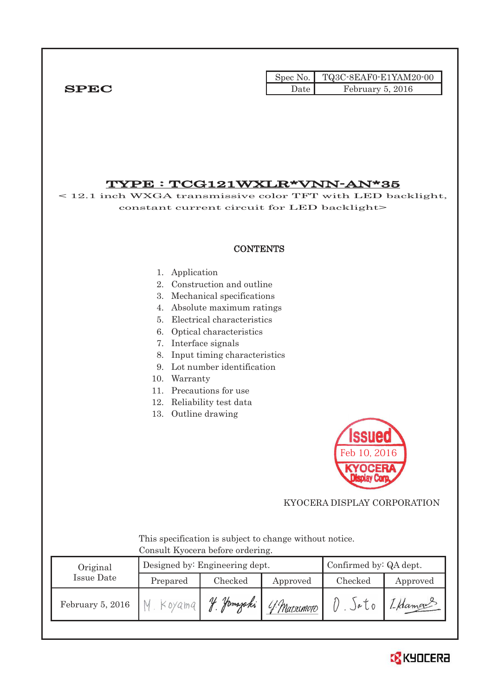|              |        | Spec No. $\vert$ TQ3C-8EAF0-E1YAM20-00 |
|--------------|--------|----------------------------------------|
| ${\bf SPEC}$ | Jate ' | February 5, 2016                       |

## TYPE : TCG121WXLR\*VNN-AN\*35

< 12.1 inch WXGA transmissive color TFT with LED backlight, constant current circuit for LED backlight>

## **CONTENTS**

#### 1. Application

- 2. Construction and outline
- 3. Mechanical specifications
- 4. Absolute maximum ratings
- 5. Electrical characteristics
- 6. Optical characteristics
- 7. Interface signals
- 8. Input timing characteristics
- 9. Lot number identification
- 10. Warranty
- 11. Precautions for use
- 12. Reliability test data
- 13. Outline drawing



## KYOCERA DISPLAY CORPORATION

 This specification is subject to change without notice. Consult Kyocera before ordering.

| Original         |           | Confirmed by: QA dept.<br>Designed by: Engineering dept. |             |         |          |  |  |
|------------------|-----------|----------------------------------------------------------|-------------|---------|----------|--|--|
| Issue Date       | Prepared  | Checked                                                  | Approved    | Checked | Approved |  |  |
| February 5, 2016 | $Koya$ ma | Hamazaki<br>$\mathcal{U}$                                | 4 Matsumoto | JøU0    | 1-Hamon  |  |  |

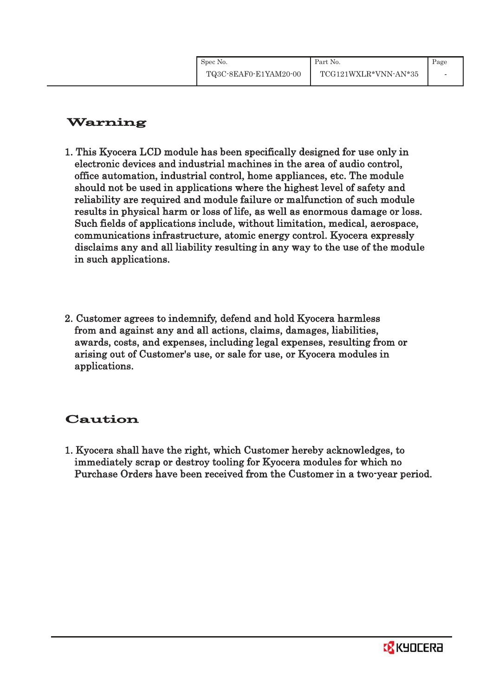# Warning

- 1. This Kyocera LCD module has been specifically designed for use only in electronic devices and industrial machines in the area of audio control, office automation, industrial control, home appliances, etc. The module should not be used in applications where the highest level of safety and reliability are required and module failure or malfunction of such module results in physical harm or loss of life, as well as enormous damage or loss. Such fields of applications include, without limitation, medical, aerospace, communications infrastructure, atomic energy control. Kyocera expressly disclaims any and all liability resulting in any way to the use of the module in such applications.
- 2. Customer agrees to indemnify, defend and hold Kyocera harmless from and against any and all actions, claims, damages, liabilities, awards, costs, and expenses, including legal expenses, resulting from or arising out of Customer's use, or sale for use, or Kyocera modules in applications.

# Caution

1. Kyocera shall have the right, which Customer hereby acknowledges, to immediately scrap or destroy tooling for Kyocera modules for which no Purchase Orders have been received from the Customer in a two-year period.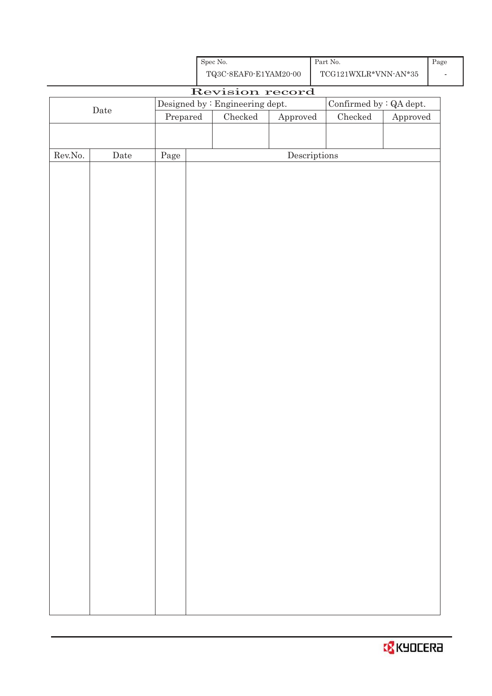

|                  |                      |                | ${\bf TQ3C\text{-}8EAF0\text{-}E1YAM20\text{-}00}$ |                                      | $\text{TCG121WXLR*VNN-AN*35}$ |          |
|------------------|----------------------|----------------|----------------------------------------------------|--------------------------------------|-------------------------------|----------|
|                  |                      |                | Revision record                                    |                                      |                               |          |
|                  | $\rm{\textbf{Date}}$ |                | Designed by : Engineering dept.                    |                                      | Confirmed by : QA dept.       |          |
|                  |                      | $\bf Prepared$ | $\rm Checked$                                      | ${\Large\bf Approved}$               | Checked                       | Approved |
|                  |                      |                |                                                    |                                      |                               |          |
| ${\rm Rev. No.}$ | $\rm{Date}$          | $\rm Page$     |                                                    | $\label{eq:2} \textbf{Descriptions}$ |                               |          |
|                  |                      |                |                                                    |                                      |                               |          |
|                  |                      |                |                                                    |                                      |                               |          |
|                  |                      |                |                                                    |                                      |                               |          |
|                  |                      |                |                                                    |                                      |                               |          |
|                  |                      |                |                                                    |                                      |                               |          |
|                  |                      |                |                                                    |                                      |                               |          |
|                  |                      |                |                                                    |                                      |                               |          |
|                  |                      |                |                                                    |                                      |                               |          |
|                  |                      |                |                                                    |                                      |                               |          |
|                  |                      |                |                                                    |                                      |                               |          |
|                  |                      |                |                                                    |                                      |                               |          |
|                  |                      |                |                                                    |                                      |                               |          |
|                  |                      |                |                                                    |                                      |                               |          |
|                  |                      |                |                                                    |                                      |                               |          |
|                  |                      |                |                                                    |                                      |                               |          |
|                  |                      |                |                                                    |                                      |                               |          |
|                  |                      |                |                                                    |                                      |                               |          |
|                  |                      |                |                                                    |                                      |                               |          |
|                  |                      |                |                                                    |                                      |                               |          |
|                  |                      |                |                                                    |                                      |                               |          |
|                  |                      |                |                                                    |                                      |                               |          |
|                  |                      |                |                                                    |                                      |                               |          |
|                  |                      |                |                                                    |                                      |                               |          |
|                  |                      |                |                                                    |                                      |                               |          |
|                  |                      |                |                                                    |                                      |                               |          |
|                  |                      |                |                                                    |                                      |                               |          |
|                  |                      |                |                                                    |                                      |                               |          |
|                  |                      |                |                                                    |                                      |                               |          |
|                  |                      |                |                                                    |                                      |                               |          |
|                  |                      |                |                                                    |                                      |                               |          |
|                  |                      |                |                                                    |                                      |                               |          |
|                  |                      |                |                                                    |                                      |                               |          |
|                  |                      |                |                                                    |                                      |                               |          |
|                  |                      |                |                                                    |                                      |                               |          |
|                  |                      |                |                                                    |                                      |                               |          |

Spec No.

Page -

Part No.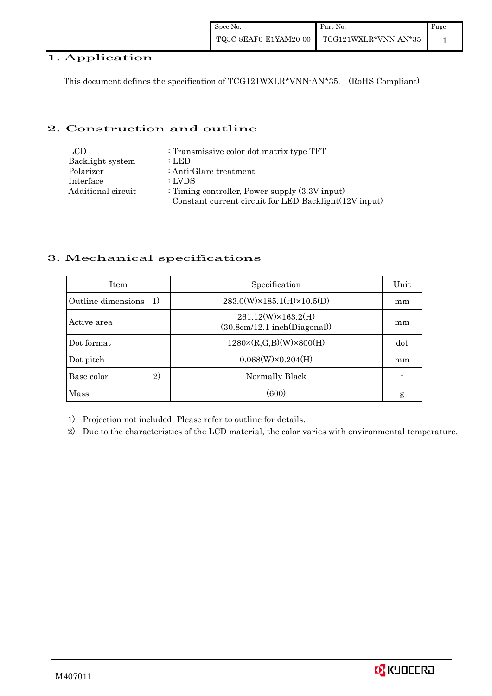## 1. Application

This document defines the specification of TCG121WXLR\*VNN-AN\*35. (RoHS Compliant)

## 2. Construction and outline

| LCD.               | : Transmissive color dot matrix type TFT              |
|--------------------|-------------------------------------------------------|
| Backlight system   | : LED                                                 |
| Polarizer          | : Anti-Glare treatment                                |
| Interface          | : LVDS                                                |
| Additional circuit | : Timing controller, Power supply $(3.3V)$ input)     |
|                    | Constant current circuit for LED Backlight(12V input) |

## 3. Mechanical specifications

| <b>Item</b>                | Specification                                                   | Unit |
|----------------------------|-----------------------------------------------------------------|------|
| Outline dimensions<br>-1)  | $283.0(W)\times185.1(H)\times10.5(D)$                           | mm   |
| Active area                | $261.12(W)\times 163.2(H)$<br>$(30.8cm/12.1$ inch $(Diagonal))$ | mm   |
| Dot format                 | $1280 \times (R, G, B)(W) \times 800(H)$                        | dot  |
| Dot pitch                  | $0.068(W)\times0.204(H)$                                        | mm   |
| $\mathbf{2}$<br>Base color | Normally Black                                                  |      |
| Mass                       | (600)                                                           | g    |

1) Projection not included. Please refer to outline for details.

2) Due to the characteristics of the LCD material, the color varies with environmental temperature.

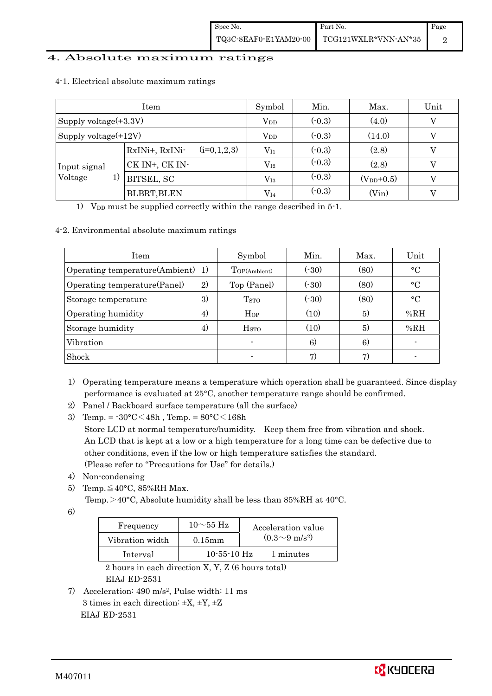## 4. Absolute maximum ratings

|                          | Symbol                          | Min.         | Max.     | Unit           |   |
|--------------------------|---------------------------------|--------------|----------|----------------|---|
| Supply voltage $(+3.3V)$ |                                 | $\rm V_{DD}$ | $(-0.3)$ | (4.0)          | V |
| Supply voltage(+12V)     |                                 | $V_{DD}$     | $(-0.3)$ | (14.0)         |   |
|                          | $(i=0,1,2,3)$<br>RxINi+, RxINi- | $\rm V_{I1}$ | $(-0.3)$ | (2.8)          |   |
| Input signal             | CK IN+, CK IN-                  | $\rm V_{I2}$ | $(-0.3)$ | (2.8)          | V |
| Voltage<br>1)            | BITSEL, SC                      | $\rm V_{I3}$ | $(-0.3)$ | $(V_{DD}+0.5)$ |   |
|                          | <b>BLBRT, BLEN</b>              | $V_{I4}$     | $(-0.3)$ | (Vin)          |   |

#### 4-1. Electrical absolute maximum ratings

1) V<sub>DD</sub> must be supplied correctly within the range described in  $5$ -1.

## 4-2. Environmental absolute maximum ratings

| <b>Item</b>                         | Symbol           | Min.  | Max. | Unit            |
|-------------------------------------|------------------|-------|------|-----------------|
| Operating temperature(Ambient) 1)   | Top(Ambient)     | (.30) | (80) | $\rm ^{\circ}C$ |
| 2)<br>Operating temperature (Panel) | Top (Panel)      | (.30) | (80) | $\rm ^{\circ}C$ |
| 3)<br>Storage temperature           | T <sub>STO</sub> | (.30) | (80) | $\rm ^{\circ}C$ |
| Operating humidity<br>4)            | Hop              | (10)  | 5)   | %RH             |
| Storage humidity<br>4)              | H <sub>STO</sub> | (10)  | 5)   | %RH             |
| Vibration                           |                  | 6)    | 6)   |                 |
| Shock                               | $\blacksquare$   | 7)    | 7)   |                 |

1) Operating temperature means a temperature which operation shall be guaranteed. Since display performance is evaluated at 25°C, another temperature range should be confirmed.

- 2) Panel / Backboard surface temperature (all the surface)
- 3) Temp. =  $-30^{\circ}$ C $<$ 48h, Temp. =  $80^{\circ}$ C $<$ 168h Store LCD at normal temperature/humidity. Keep them free from vibration and shock. An LCD that is kept at a low or a high temperature for a long time can be defective due to other conditions, even if the low or high temperature satisfies the standard. (Please refer to "Precautions for Use" for details.)
- 4) Non-condensing
- 5) Temp. $\leq 40^{\circ}$ C, 85%RH Max.

Temp. $>$ 40°C, Absolute humidity shall be less than 85%RH at 40°C.

6)

| Frequency       | $10\sim$ 55 Hz    | Acceleration value         |
|-----------------|-------------------|----------------------------|
| Vibration width | $0.15$ mm         | $(0.3{\sim}9~{\rm m/s^2})$ |
| Interval        | $10 - 55 - 10$ Hz | 1 minutes                  |

 2 hours in each direction X, Y, Z (6 hours total) EIAJ ED-2531

7) Acceleration: 490 m/s2, Pulse width: 11 ms 3 times in each direction:  $\pm X$ ,  $\pm Y$ ,  $\pm Z$ EIAJ ED-2531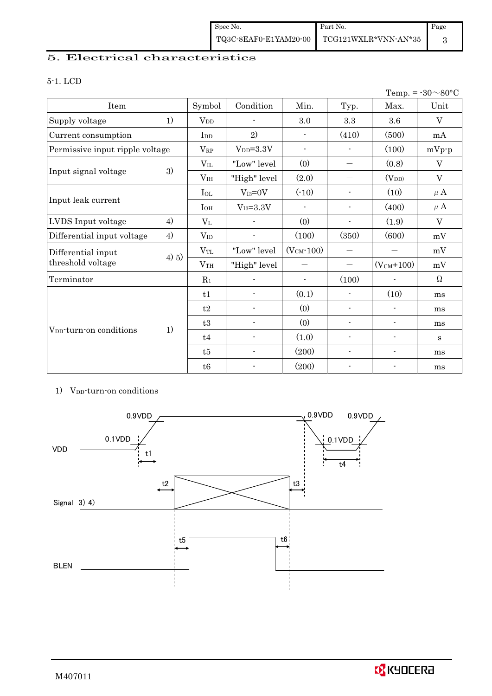# 5. Electrical characteristics

#### 5-1. LCD

| Temp. = $-30 \sim 80^{\circ}$ C     |       |                 |                          |                          |                          |                          |              |
|-------------------------------------|-------|-----------------|--------------------------|--------------------------|--------------------------|--------------------------|--------------|
| Item                                |       | Symbol          | Condition                | Min.                     | Typ.                     | Max.                     | Unit         |
| Supply voltage                      | 1)    | $V_{DD}$        | $\blacksquare$           | 3.0                      | $\!.3$                   | 3.6                      | V            |
| Current consumption                 |       | I <sub>DD</sub> | 2)                       | $\overline{\phantom{a}}$ | (410)                    | (500)                    | mA           |
| Permissive input ripple voltage     |       | $V_{RP}$        | $VDD=3.3V$               | $\overline{\phantom{a}}$ |                          | (100)                    | $mVp-p$      |
|                                     |       | $\rm V_{II}$    | "Low" level              | (0)                      | $\overline{\phantom{0}}$ | (0.8)                    | $\mathbf{V}$ |
| Input signal voltage                | 3)    | V <sub>IH</sub> | "High" level             | (2.0)                    |                          | $(V_{DD})$               | V            |
|                                     |       | $I_{OL}$        | $V_{I3}=0V$              | $(-10)$                  | $\blacksquare$           | (10)                     | $\mu$ A      |
| Input leak current                  |       | $I_{OH}$        | $V_{I3}=3.3V$            |                          | $\blacksquare$           | (400)                    | $\mu$ A      |
| LVDS Input voltage                  | 4)    | $V_{L}$         |                          | (0)                      | $\blacksquare$           | (1.9)                    | V            |
| Differential input voltage          | 4)    | $V_{ID}$        |                          | (100)                    | (350)                    | (600)                    | mV           |
| Differential input                  |       | $V_{TL}$        | "Low" level              | $(VCM - 100)$            | $\overline{\phantom{0}}$ |                          | mV           |
| threshold voltage                   | 4) 5) | V <sub>TH</sub> | "High" level             | —                        | $\overline{\phantom{0}}$ | $(V_{CM}+100)$           | mV           |
| Terminator                          |       | $R_1$           |                          | $\overline{\phantom{a}}$ | (100)                    |                          | $\Omega$     |
|                                     |       | t1              | $\blacksquare$           | (0.1)                    | $\blacksquare$           | (10)                     | ms           |
|                                     |       | t2              |                          | (0)                      | $\overline{\phantom{a}}$ | $\overline{\phantom{a}}$ | ms           |
| V <sub>pp</sub> -turn-on conditions |       | t3              |                          | (0)                      | $\blacksquare$           | $\overline{\phantom{0}}$ | ms           |
|                                     | 1)    | t4              | $\overline{\phantom{a}}$ | (1.0)                    | $\overline{\phantom{a}}$ | $\overline{\phantom{a}}$ | $\mathbf{s}$ |
|                                     |       | t5              |                          | (200)                    |                          |                          | ms           |
|                                     |       | t6              |                          | (200)                    |                          |                          | ms           |

#### 1) V<sub>DD</sub>-turn-on conditions



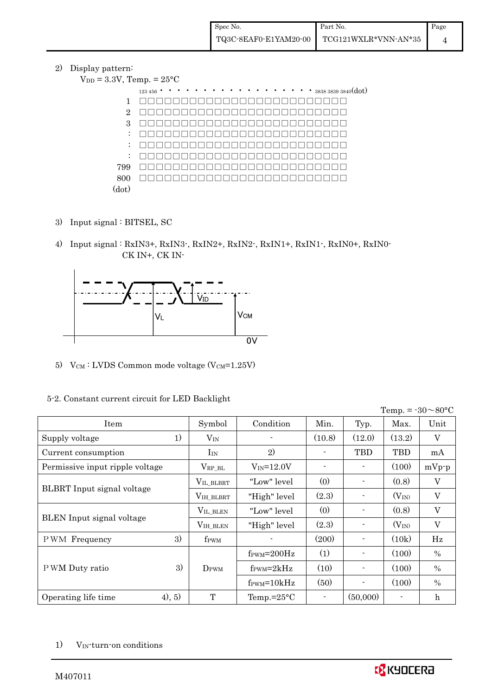#### 2) Display pattern:  $V_{DD} =$

|                      | 3.3V, Temp. $= 25^{\circ}C$                        |
|----------------------|----------------------------------------------------|
|                      | $\cdots$ $\cdots$ $383838393840(dot)$<br>123 456 . |
| 1                    |                                                    |
| $\overline{2}$       | $\Box$                                             |
| 3                    | $\Box$                                             |
| $\ddot{\phantom{a}}$ | $\Box$                                             |
| $\ddot{\phantom{a}}$ |                                                    |
| $\ddot{\phantom{a}}$ |                                                    |
| 799                  |                                                    |
| 800                  |                                                    |
| (dot)                |                                                    |

- 3) Input signal : BITSEL, SC
- 4) Input signal : RxIN3+, RxIN3-, RxIN2+, RxIN2-, RxIN1+, RxIN1-, RxIN0+, RxIN0- CK IN+, CK IN-



5)  $V_{CM}$ : LVDS Common mode voltage (V $_{CM}$ =1.25V)

|                                  |    |                     |                                  |        |                |            | Temp. = $-30 \sim 80$ °C  |
|----------------------------------|----|---------------------|----------------------------------|--------|----------------|------------|---------------------------|
| Item                             |    | Symbol              | Condition                        | Min.   | Typ.           | Max.       | Unit                      |
| Supply voltage                   | 1) | $\rm V_{IN}$        |                                  | (10.8) | (12.0)         | (13.2)     | V                         |
| Current consumption              |    | I <sub>IN</sub>     | 2)                               |        | <b>TBD</b>     | <b>TBD</b> | mA                        |
| Permissive input ripple voltage  |    | $\rm V_{RP\_BL}$    | $V_{IN} = 12.0V$                 |        | $\blacksquare$ | (100)      | $mVp-p$                   |
|                                  |    | VIL_BLBRT           | "Low" level                      | (0)    |                | (0.8)      | $\boldsymbol{\mathrm{V}}$ |
| BLBRT Input signal voltage       |    | $\rm V_{IH\_BLBRT}$ | "High" level                     | (2.3)  | $\blacksquare$ | $(V_{IN})$ | $\mathbf{V}$              |
|                                  |    | VIL_BLEN            | "Low" level                      | (0)    |                | (0.8)      | V                         |
| <b>BLEN</b> Input signal voltage |    | $V_{\rm IH\_BLEN}$  | "High" level                     | (2.3)  | $\blacksquare$ | $(V_{IN})$ | V                         |
| <b>PWM</b> Frequency             | 3) | f <sub>PWM</sub>    |                                  | (200)  | $\blacksquare$ | (10k)      | Hz                        |
|                                  |    |                     | $f_{\text{PWM}} = 200 \text{Hz}$ | (1)    | $\blacksquare$ | (100)      | $\%$                      |
| PWM Duty ratio                   | 3) | $D_{\rm PWM}$       | $f_{\rm PWM} = 2kHz$             | (10)   | $\blacksquare$ | (100)      | $\frac{0}{0}$             |
|                                  |    |                     | $f_{\text{PWM}}=10kHz$           | (50)   | $\blacksquare$ | (100)      | $\frac{0}{0}$             |
| (4), 5)<br>Operating life time   |    | T                   | Temp.= $25^{\circ}$ C            |        | (50,000)       |            | $\mathbf h$               |

## 5-2. Constant current circuit for LED Backlight

1) V<sub>IN</sub>-turn-on conditions

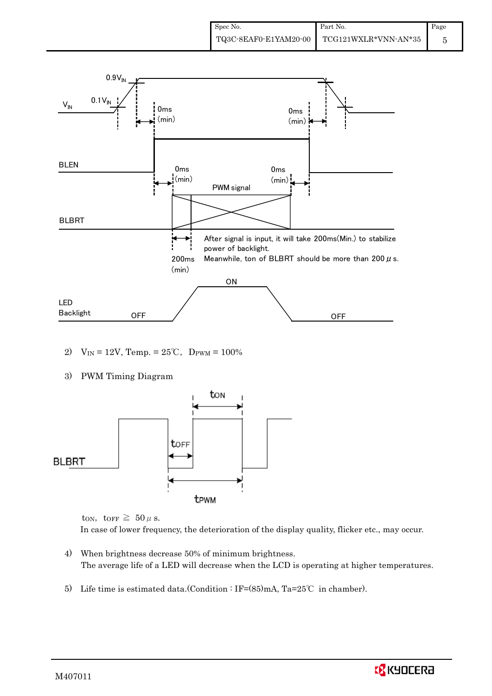

- 2)  $V_{IN} = 12V$ , Temp. =  $25^{\circ}C$ , D<sub>PWM</sub> = 100%
- 3) PWM Timing Diagram



ton, torr  $\geq 50 \mu$  s. In case of lower frequency, the deterioration of the display quality, flicker etc., may occur.

- 4) When brightness decrease 50% of minimum brightness. The average life of a LED will decrease when the LCD is operating at higher temperatures.
- 5) Life time is estimated data.(Condition : IF= $(85)$ mA, Ta=25°C in chamber).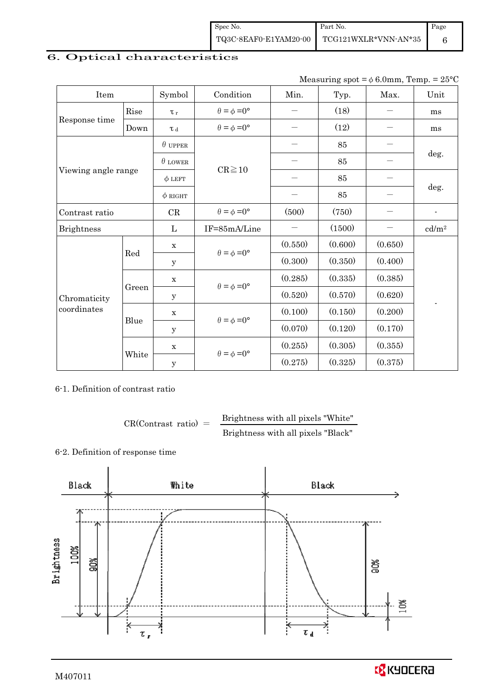| Spec No. | Part No.                                   | Page |
|----------|--------------------------------------------|------|
|          | TQ3C-8EAF0-E1YAM20-00 TCG121WXLR*VNN-AN*35 |      |

# 6. Optical characteristics

Measuring spot =  $\phi$  6.0mm, Temp. = 25°C

| Item                |       | Symbol            | Condition                   | Min.    | Typ.    | Max.    | Unit              |  |
|---------------------|-------|-------------------|-----------------------------|---------|---------|---------|-------------------|--|
|                     | Rise  | $\tau_r$          | $\theta = \phi = 0^{\circ}$ |         | (18)    |         | ms                |  |
| Response time       | Down  | $\tau$ $_{\rm d}$ | $\theta = \phi = 0^{\circ}$ |         | (12)    |         | ms                |  |
|                     |       | $\theta$ upper    |                             |         | 85      |         |                   |  |
|                     |       | $\theta$ LOWER    | $CR \ge 10$                 |         | 85      |         | deg.              |  |
| Viewing angle range |       | $\phi$ LEFT       |                             |         | 85      |         |                   |  |
|                     |       | $\phi$ RIGHT      |                             |         | 85      |         | deg.              |  |
| Contrast ratio      |       | CR                | $\theta = \phi = 0^{\circ}$ | (500)   | (750)   |         | $\blacksquare$    |  |
| <b>Brightness</b>   |       | L                 | IF=85mA/Line                |         | (1500)  |         | cd/m <sup>2</sup> |  |
|                     | Red   | $\mathbf X$       | $\theta = \phi = 0^{\circ}$ | (0.550) | (0.600) | (0.650) |                   |  |
|                     |       | y                 |                             | (0.300) | (0.350) | (0.400) |                   |  |
|                     |       | $\mathbf X$       | $\theta = \phi = 0^{\circ}$ | (0.285) | (0.335) | (0.385) |                   |  |
| Chromaticity        | Green | У                 |                             | (0.520) | (0.570) | (0.620) | $\overline{a}$    |  |
| coordinates         |       | X                 |                             | (0.100) | (0.150) | (0.200) |                   |  |
|                     | Blue  | y                 | $\theta = \phi = 0^{\circ}$ | (0.070) | (0.120) | (0.170) |                   |  |
|                     |       | $\mathbf X$       | $\theta = \phi = 0^{\circ}$ | (0.255) | (0.305) | (0.355) |                   |  |
|                     | White | y                 |                             | (0.275) | (0.325) | (0.375) |                   |  |

6-1. Definition of contrast ratio

 $CR(Contrast ratio) =$  Brightness with all pixels "White" Brightness with all pixels "Black"

6-2. Definition of response time

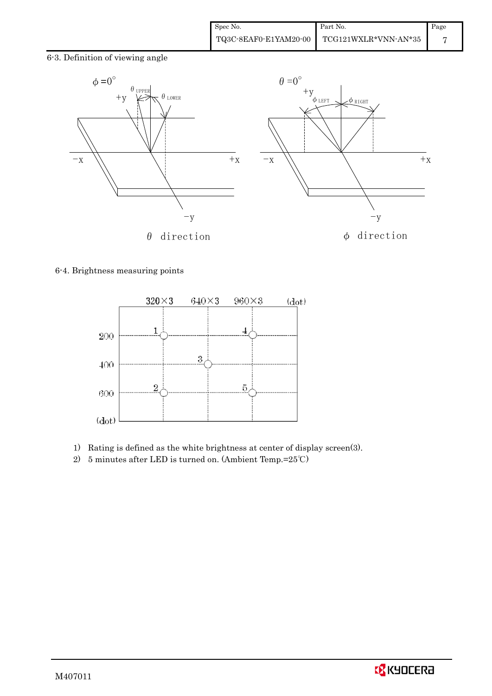6-3. Definition of viewing angle



#### 6-4. Brightness measuring points



- 1) Rating is defined as the white brightness at center of display screen(3).
- 2) 5 minutes after LED is turned on. (Ambient Temp.=25℃)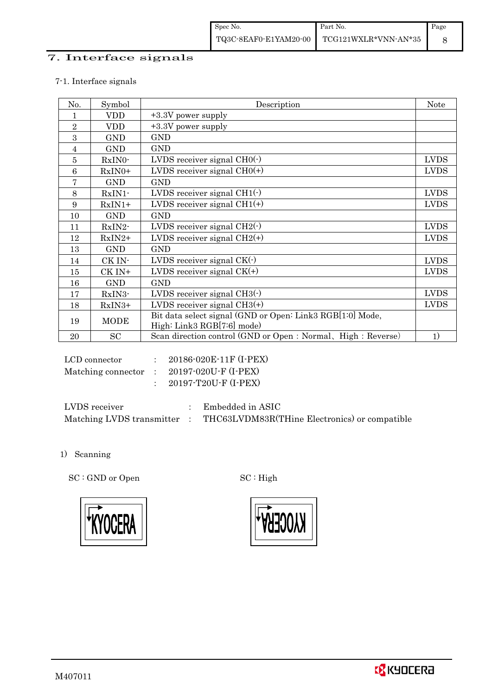## 7. Interface signals

## 7-1. Interface signals

| No.            | Symbol      | Description                                                                             | <b>Note</b> |
|----------------|-------------|-----------------------------------------------------------------------------------------|-------------|
| 1              | <b>VDD</b>  | +3.3V power supply                                                                      |             |
| $\overline{2}$ | <b>VDD</b>  | +3.3V power supply                                                                      |             |
| 3              | <b>GND</b>  | <b>GND</b>                                                                              |             |
| 4              | <b>GND</b>  | <b>GND</b>                                                                              |             |
| 5              | $RxIN0-$    | LVDS receiver signal $CHO(·)$                                                           | <b>LVDS</b> |
| 6              | $RxIN0+$    | LVDS receiver signal $CHO(+)$                                                           | <b>LVDS</b> |
| 7              | <b>GND</b>  | <b>GND</b>                                                                              |             |
| 8              | $RxIN1$ -   | LVDS receiver signal $CH1(\cdot)$                                                       | <b>LVDS</b> |
| 9              | $RxIN1+$    | LVDS receiver signal $CH1(+)$                                                           | <b>LVDS</b> |
| 10             | <b>GND</b>  | <b>GND</b>                                                                              |             |
| 11             | RxIN2-      | LVDS receiver signal $CH2(\cdot)$                                                       | <b>LVDS</b> |
| 12             | $RxIN2+$    | LVDS receiver signal $CH2(+)$                                                           | <b>LVDS</b> |
| 13             | <b>GND</b>  | <b>GND</b>                                                                              |             |
| 14             | CK IN-      | LVDS receiver signal $CK(\cdot)$                                                        | <b>LVDS</b> |
| 15             | CK IN+      | LVDS receiver signal $CK(+)$                                                            | <b>LVDS</b> |
| 16             | <b>GND</b>  | <b>GND</b>                                                                              |             |
| 17             | RxIN3-      | LVDS receiver signal $CH3(\cdot)$                                                       | <b>LVDS</b> |
| 18             | $RxIN3+$    | LVDS receiver signal $CH3(+)$                                                           | <b>LVDS</b> |
| 19             | <b>MODE</b> | Bit data select signal (GND or Open: Link3 RGB[1:0] Mode,<br>High: Link3 RGB[7:6] mode) |             |
| 20             | SC          | Scan direction control (GND or Open: Normal, High: Reverse)                             | 1)          |

| LCD connector | : $20186 - 020E - 11F$ (I-PEX)                                |
|---------------|---------------------------------------------------------------|
|               | Matching connector : $20197 \cdot 020U \cdot F (I \cdot PEX)$ |
|               | 20197-T20U-F (I-PEX)                                          |

| LVDS receiver             | Embedded in ASIC                              |
|---------------------------|-----------------------------------------------|
| Matching LVDS transmitter | THC63LVDM83R(THine Electronics) or compatible |

1) Scanning

SC : GND or Open SC : High



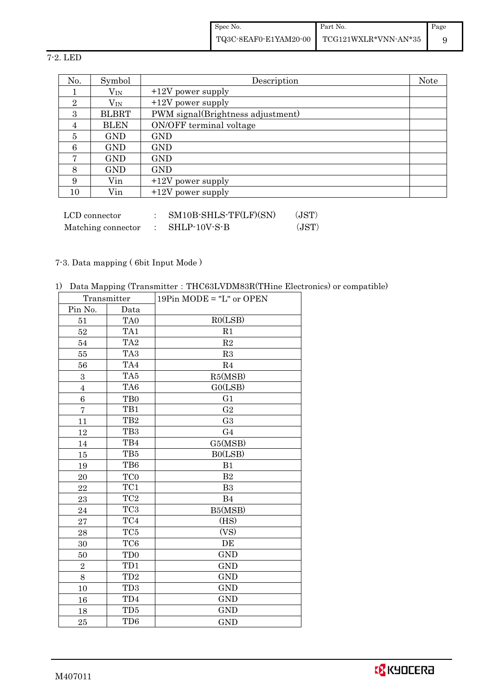Spec No. TQ3C-8EAF0-E1YAM20-00 Part No. TCG121WXLR\*VNN-AN\*35 Page 9

7-2. LED

| No.            | Symbol       | Description                       | <b>Note</b> |
|----------------|--------------|-----------------------------------|-------------|
|                | $V_{\rm IN}$ | $+12V$ power supply               |             |
| $\overline{2}$ | $V_{\rm IN}$ | $+12V$ power supply               |             |
| 3              | <b>BLBRT</b> | PWM signal(Brightness adjustment) |             |
| 4              | <b>BLEN</b>  | ON/OFF terminal voltage           |             |
| 5              | <b>GND</b>   | <b>GND</b>                        |             |
| 6              | <b>GND</b>   | <b>GND</b>                        |             |
| 7              | <b>GND</b>   | <b>GND</b>                        |             |
| 8              | <b>GND</b>   | <b>GND</b>                        |             |
| 9              | Vin          | $+12V$ power supply               |             |
| 10             | Vin          | $+12V$ power supply               |             |

| LCD connector      | $SM10B\text{-}SHLS\text{-}TF(LF)(SN)$ | (JST) |
|--------------------|---------------------------------------|-------|
| Matching connector | SHLP-10V-S-B                          | (JST) |

## 7-3. Data mapping ( 6bit Input Mode )

1) Data Mapping (Transmitter:THC63LVDM83R(THine Electronics) or compatible)

| Transmitter      |                 | $19Pin$ MODE = "L" or OPEN |
|------------------|-----------------|----------------------------|
| Pin No.          | Data            |                            |
| 51               | TA <sub>0</sub> | RO(LSB)                    |
| $52\,$           | TA <sub>1</sub> | R1                         |
| 54               | TA <sub>2</sub> | R2                         |
| $55\,$           | TA <sub>3</sub> | R3                         |
| 56               | TA4             | R <sub>4</sub>             |
| 3                | TA5             | R5(MSB)                    |
| $\overline{4}$   | TA6             | GO(LSB)                    |
| $\boldsymbol{6}$ | TB <sub>0</sub> | G <sub>1</sub>             |
| $\overline{7}$   | TB1             | G <sub>2</sub>             |
| 11               | TB <sub>2</sub> | G <sub>3</sub>             |
| 12               | TB <sub>3</sub> | G <sub>4</sub>             |
| 14               | TB4             | G5(MSB)                    |
| 15               | TB5             | B0(LSB)                    |
| 19               | TB6             | B1                         |
| 20               | TC <sub>0</sub> | B <sub>2</sub>             |
| 22               | TC1             | B3                         |
| 23               | TC <sub>2</sub> | B <sub>4</sub>             |
| 24               | TC <sub>3</sub> | B5(MSB)                    |
| $\sqrt{27}$      | TC4             | (HS)                       |
| 28               | TC <sub>5</sub> | (VS)                       |
| 30               | TC <sub>6</sub> | DE                         |
| 50               | TD <sub>0</sub> | <b>GND</b>                 |
| $\overline{2}$   | TD1             | <b>GND</b>                 |
| 8                | TD <sub>2</sub> | <b>GND</b>                 |
| 10               | TD <sub>3</sub> | <b>GND</b>                 |
| 16               | TD4             | <b>GND</b>                 |
| 18               | TD5             | <b>GND</b>                 |
| $\rm 25$         | TD <sub>6</sub> | <b>GND</b>                 |

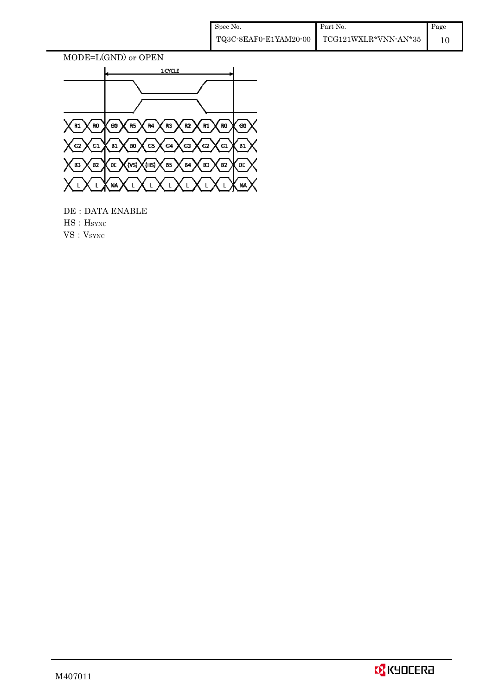| Spec No.              | Part No.             | Page |
|-----------------------|----------------------|------|
| TQ3C-8EAF0-E1YAM20-00 | TCG121WXLR*VNN-AN*35 |      |



 DE:DATA ENABLE  $\operatorname{HS}$  :  $\operatorname{HSTNC}$  $\mathbf{VS}:\mathbf{V}_{\text{SYNC}}$ 

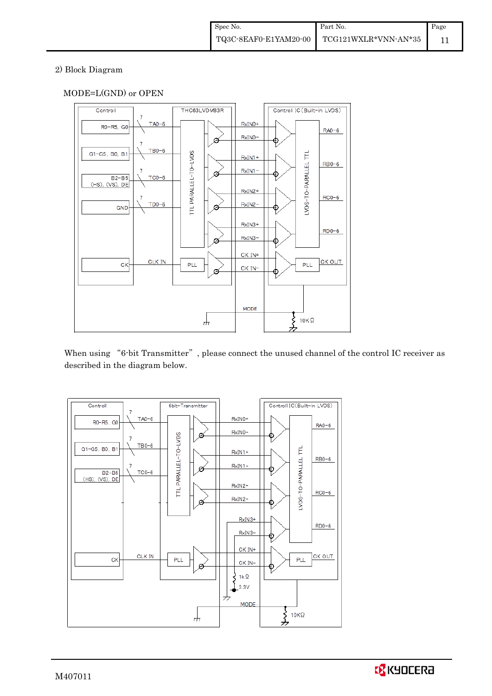#### 2) Block Diagram

## MODE=L(GND) or OPEN



When using "6-bit Transmitter", please connect the unused channel of the control IC receiver as described in the diagram below.



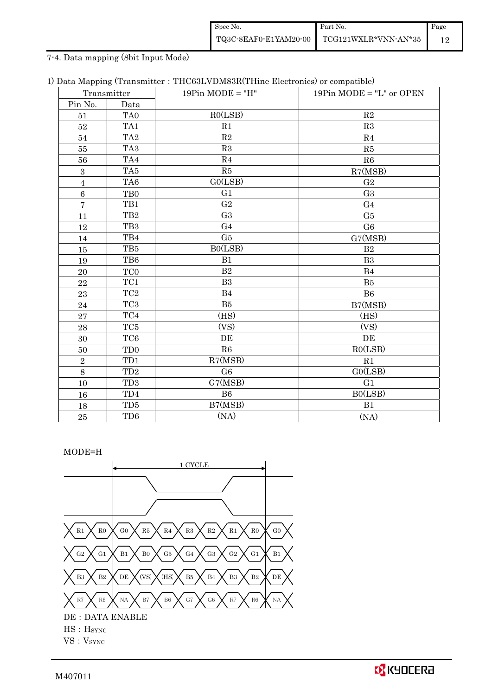| Spec No. | Part No.                                                                                                           | Page |
|----------|--------------------------------------------------------------------------------------------------------------------|------|
|          | $\left. {\rm TQ3C\text{-}SEAF0\text{-}E1YAM20\text{-}00} \right  \left. {\rm TCG121WXLR*VNN\text{-}AN*35} \right.$ |      |

## 7-4. Data mapping (8bit Input Mode)

|  |  |  | 1) Data Mapping (Transmitter: THC63LVDM83R(THine Electronics) or compatible) |  |  |
|--|--|--|------------------------------------------------------------------------------|--|--|
|--|--|--|------------------------------------------------------------------------------|--|--|

| Transmitter      |                             | $19Pin MODE = "H"$ | 19 $Pin$ MODE = "L" or OPEN |
|------------------|-----------------------------|--------------------|-----------------------------|
| Pin No.          | Data                        |                    |                             |
| 51               | TA <sub>0</sub>             | RO(LSB)            | R <sub>2</sub>              |
| 52               | TA1                         | R1                 | R3                          |
| 54               | TA <sub>2</sub>             | $\mathbf{R}2$      | R <sub>4</sub>              |
| 55               | TA <sub>3</sub>             | R3                 | R5                          |
| 56               | TA4                         | R <sub>4</sub>     | R6                          |
| $\boldsymbol{3}$ | TA5                         | R5                 | R7(MSB)                     |
| $\overline{4}$   | TA6                         | GO(LSB)            | G <sub>2</sub>              |
| $\,6$            | T <sub>B0</sub>             | G <sub>1</sub>     | G <sub>3</sub>              |
| $\overline{7}$   | TB1                         | G <sub>2</sub>     | G <sub>4</sub>              |
| 11               | TB <sub>2</sub>             | G <sub>3</sub>     | G <sub>5</sub>              |
| 12               | TB <sub>3</sub>             | G <sub>4</sub>     | G <sub>6</sub>              |
| 14               | TB4                         | G5                 | G7(MSB)                     |
| 15               | TB5                         | BO(LSB)            | B <sub>2</sub>              |
| 19               | TB6                         | B1                 | B <sub>3</sub>              |
| 20               | TC <sub>0</sub>             | B <sub>2</sub>     | B4                          |
| 22               | TC1                         | B <sub>3</sub>     | <b>B5</b>                   |
| 23               | TC <sub>2</sub>             | B <sub>4</sub>     | B <sub>6</sub>              |
| 24               | TC <sub>3</sub>             | B5                 | B7(MSB)                     |
| 27               | TC4                         | (HS)               | (HS)                        |
| 28               | TC <sub>5</sub>             | (VS)               | (VS)                        |
| 30               | TC <sub>6</sub>             | DE                 | DE                          |
| 50               | T <sub>D</sub> <sub>0</sub> | R6                 | RO(LSB)                     |
| $\overline{2}$   | TD1                         | R7(MSB)            | R1                          |
| 8                | TD <sub>2</sub>             | G <sub>6</sub>     | GO(LSB)                     |
| 10               | TD <sub>3</sub>             | G7(MSB)            | G <sub>1</sub>              |
| 16               | TD4                         | B6                 | B0(LSB)                     |
| 18               | TD <sub>5</sub>             | B7(MSB)            | B1                          |
| 25               | TD <sub>6</sub>             | (NA)               | (NA)                        |

## MODE=H

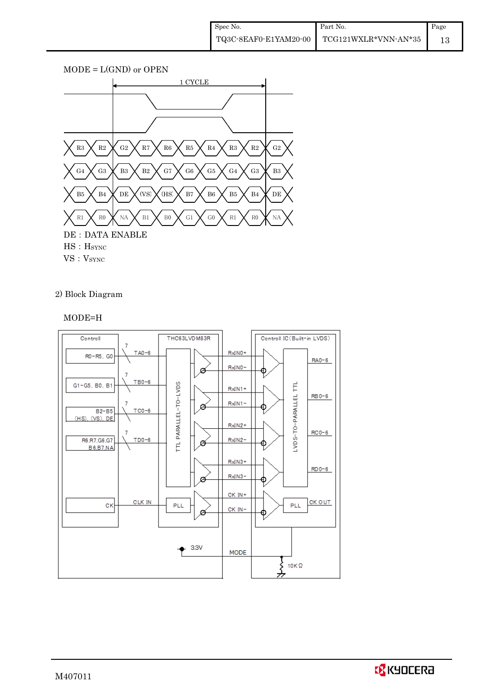

2) Block Diagram

## MODE=H



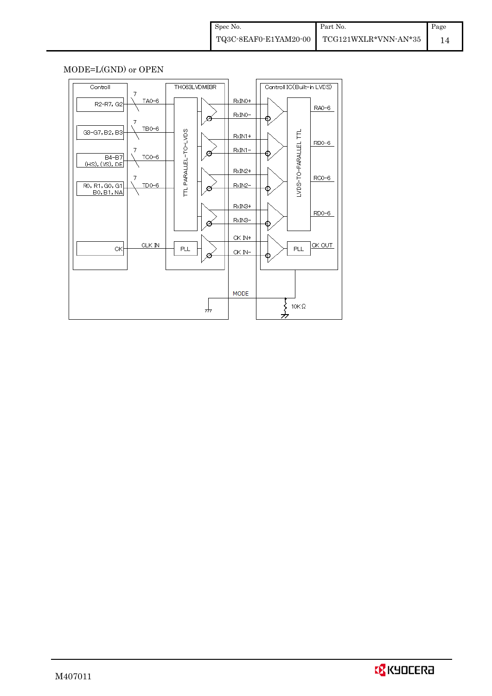## MODE=L(GND) or OPEN

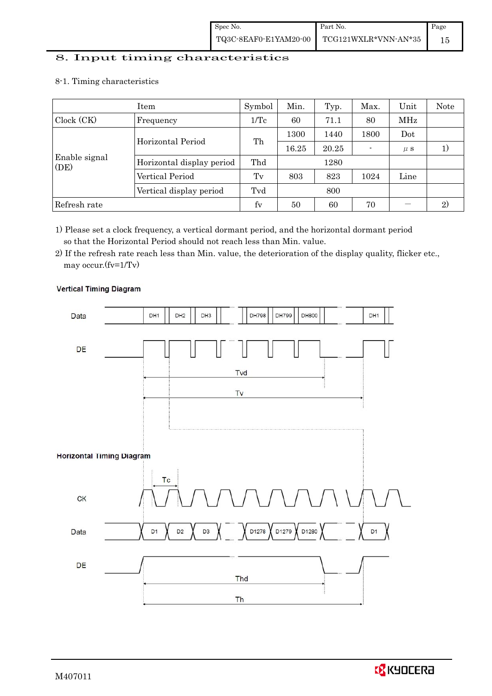## 8. Input timing characteristics

## 8-1. Timing characteristics

|                       | Item                      | Symbol          | Min.  | Typ.  | Max. | Unit    | Note |
|-----------------------|---------------------------|-----------------|-------|-------|------|---------|------|
| Clock (CK)            | Frequency                 | $1/\mathrm{Tc}$ | 60    | 71.1  | 80   | MHz     |      |
|                       | Horizontal Period         | Th              | 1300  | 1440  | 1800 | Dot     |      |
|                       |                           |                 | 16.25 | 20.25 |      | $\mu$ s |      |
| Enable signal<br>(DE) | Horizontal display period | Thd             |       | 1280  |      |         |      |
|                       | Vertical Period           | $T_{V}$         | 803   | 823   | 1024 | Line    |      |
|                       | Vertical display period   | Tvd             |       | 800   |      |         |      |
| Refresh rate          |                           | fy              | 50    | 60    | 70   |         | 2)   |

1) Please set a clock frequency, a vertical dormant period, and the horizontal dormant period so that the Horizontal Period should not reach less than Min. value.

2) If the refresh rate reach less than Min. value, the deterioration of the display quality, flicker etc., may occur.(fv=1/Tv)

# **Vertical Timing Diagram**

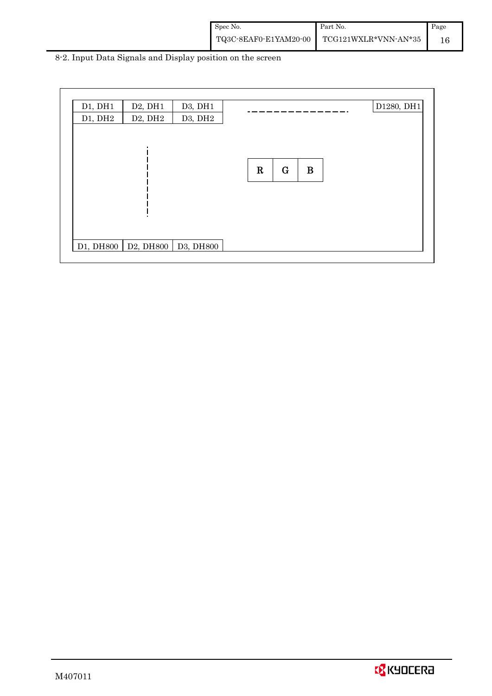| Spec No.              | Part No.             | Page |
|-----------------------|----------------------|------|
| TQ3C-8EAF0-E1YAM20-00 | TCG121WXLR*VNN-AN*35 |      |

8-2. Input Data Signals and Display position on the screen

| D1, DH1 | D2, DH1                           | D3, DH1 |         |             |          |  | D1280, DH1 |
|---------|-----------------------------------|---------|---------|-------------|----------|--|------------|
| D1, DH2 | D2, DH2                           | D3, DH2 |         |             |          |  |            |
|         |                                   |         |         |             |          |  |            |
|         |                                   |         |         |             |          |  |            |
|         |                                   |         |         |             |          |  |            |
|         |                                   |         | $\bf R$ | $\mathbf G$ | $\bf{B}$ |  |            |
|         |                                   |         |         |             |          |  |            |
|         |                                   |         |         |             |          |  |            |
|         |                                   |         |         |             |          |  |            |
|         |                                   |         |         |             |          |  |            |
|         |                                   |         |         |             |          |  |            |
|         | D1, DH800   D2, DH800   D3, DH800 |         |         |             |          |  |            |

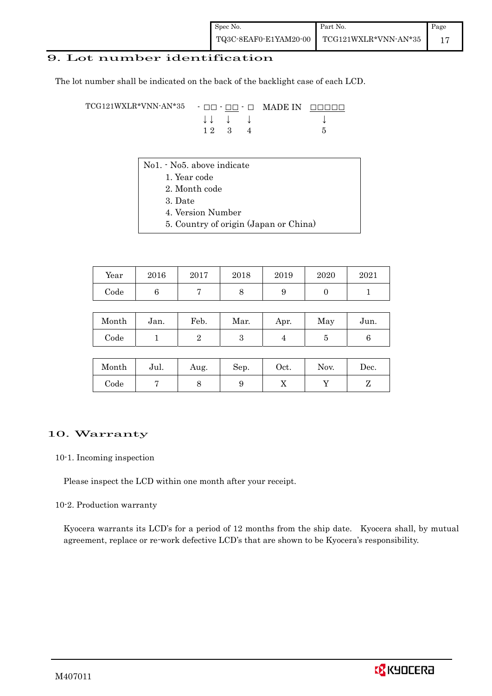## 9. Lot number identification

The lot number shall be indicated on the back of the backlight case of each LCD.

TCG121WXLR\*VNN-AN\*35 - □□ - □□ - □ MADE IN □□□□□ ↓ ↓ ↓ ↓ ↓  $1 2 3 4 5$ 

- No1. No5. above indicate
	- 1. Year code
	- 2. Month code
	- 3. Date
	- 4. Version Number
	- 5. Country of origin (Japan or China)

| Year       | 2016 | 2017 | 2018 | 2019 | 2020 | 2021 |
|------------|------|------|------|------|------|------|
| $\rm Code$ |      |      |      | ັ    |      |      |

| Month | Jan. | Feb. | Mar. | Apr. | May | Jun. |
|-------|------|------|------|------|-----|------|
| Code  |      |      |      |      |     |      |

| Month | Jul. | Aug. | Sep. | Oct. | Nov. | Dec. |
|-------|------|------|------|------|------|------|
| Code  |      |      |      | ∡⊾   |      |      |

#### 10. Warranty

#### 10-1. Incoming inspection

Please inspect the LCD within one month after your receipt.

#### 10-2. Production warranty

 Kyocera warrants its LCD's for a period of 12 months from the ship date. Kyocera shall, by mutual agreement, replace or re-work defective LCD's that are shown to be Kyocera's responsibility.

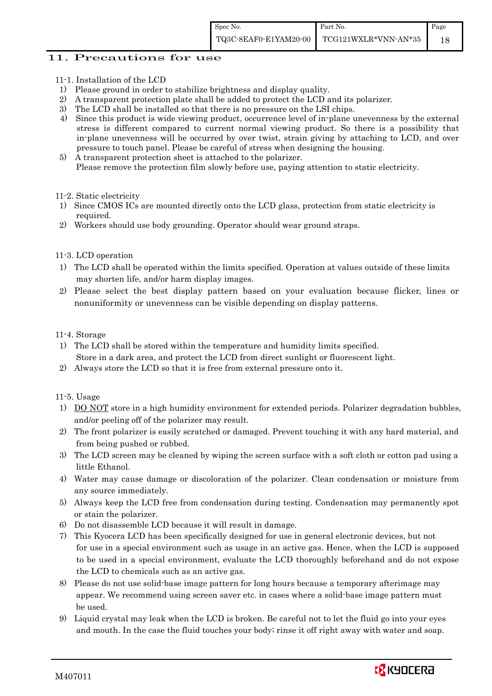## 11. Precautions for use

- 11-1. Installation of the LCD
- 1) Please ground in order to stabilize brightness and display quality.
- 2) A transparent protection plate shall be added to protect the LCD and its polarizer.
- 3) The LCD shall be installed so that there is no pressure on the LSI chips.
- 4) Since this product is wide viewing product, occurrence level of in-plane unevenness by the external stress is different compared to current normal viewing product. So there is a possibility that in-plane unevenness will be occurred by over twist, strain giving by attaching to LCD, and over pressure to touch panel. Please be careful of stress when designing the housing.
- 5) A transparent protection sheet is attached to the polarizer. Please remove the protection film slowly before use, paying attention to static electricity.

#### 11-2. Static electricity

- 1) Since CMOS ICs are mounted directly onto the LCD glass, protection from static electricity is required.
- 2) Workers should use body grounding. Operator should wear ground straps.

#### 11-3. LCD operation

- 1) The LCD shall be operated within the limits specified. Operation at values outside of these limits may shorten life, and/or harm display images.
- 2) Please select the best display pattern based on your evaluation because flicker, lines or nonuniformity or unevenness can be visible depending on display patterns.

#### 11-4. Storage

- 1) The LCD shall be stored within the temperature and humidity limits specified. Store in a dark area, and protect the LCD from direct sunlight or fluorescent light.
- 2) Always store the LCD so that it is free from external pressure onto it.

#### 11-5. Usage

- 1) DO NOT store in a high humidity environment for extended periods. Polarizer degradation bubbles, and/or peeling off of the polarizer may result.
- 2) The front polarizer is easily scratched or damaged. Prevent touching it with any hard material, and from being pushed or rubbed.
- 3) The LCD screen may be cleaned by wiping the screen surface with a soft cloth or cotton pad using a little Ethanol.
- 4) Water may cause damage or discoloration of the polarizer. Clean condensation or moisture from any source immediately.
- 5) Always keep the LCD free from condensation during testing. Condensation may permanently spot or stain the polarizer.
- 6) Do not disassemble LCD because it will result in damage.
- 7) This Kyocera LCD has been specifically designed for use in general electronic devices, but not for use in a special environment such as usage in an active gas. Hence, when the LCD is supposed to be used in a special environment, evaluate the LCD thoroughly beforehand and do not expose the LCD to chemicals such as an active gas.
- 8) Please do not use solid-base image pattern for long hours because a temporary afterimage may appear. We recommend using screen saver etc. in cases where a solid-base image pattern must be used.
- 9) Liquid crystal may leak when the LCD is broken. Be careful not to let the fluid go into your eyes and mouth. In the case the fluid touches your body; rinse it off right away with water and soap.

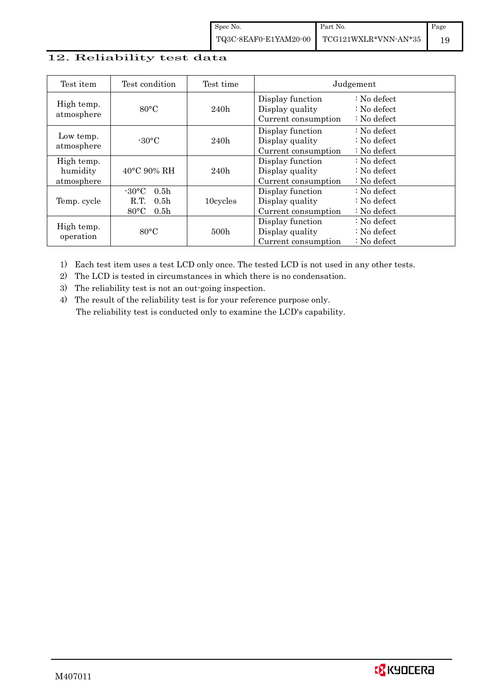## 12. Reliability test data

| Test item                            | Test condition                                                                                       | Test time        |                                                            | Judgement                                                                  |
|--------------------------------------|------------------------------------------------------------------------------------------------------|------------------|------------------------------------------------------------|----------------------------------------------------------------------------|
| High temp.<br>atmosphere             | $80^{\circ}$ C                                                                                       | 240h             | Display function<br>Display quality<br>Current consumption | $\therefore$ No defect<br>$\therefore$ No defect<br>$\therefore$ No defect |
| Low temp.<br>atmosphere              | $-30\degree C$                                                                                       | 240h             | Display function<br>Display quality<br>Current consumption | : No defect<br>$\therefore$ No defect<br>$\therefore$ No defect            |
| High temp.<br>humidity<br>atmosphere | $40^{\circ}$ C 90% RH                                                                                | 240h             | Display function<br>Display quality<br>Current consumption | : No defect<br>$\therefore$ No defect<br>$\therefore$ No defect            |
| Temp. cycle                          | $-30\degree C$<br>0.5 <sub>h</sub><br>0.5 <sub>h</sub><br>R.T.<br>$80^{\circ}$ C<br>0.5 <sub>h</sub> | 10cycles         | Display function<br>Display quality<br>Current consumption | $\therefore$ No defect<br>$\therefore$ No defect<br>$\therefore$ No defect |
| High temp.<br>operation              | $80^{\circ}$ C                                                                                       | 500 <sub>h</sub> | Display function<br>Display quality<br>Current consumption | $\therefore$ No defect<br>$\therefore$ No defect<br>$\therefore$ No defect |

1) Each test item uses a test LCD only once. The tested LCD is not used in any other tests.

2) The LCD is tested in circumstances in which there is no condensation.

3) The reliability test is not an out-going inspection.

4) The result of the reliability test is for your reference purpose only. The reliability test is conducted only to examine the LCD's capability.

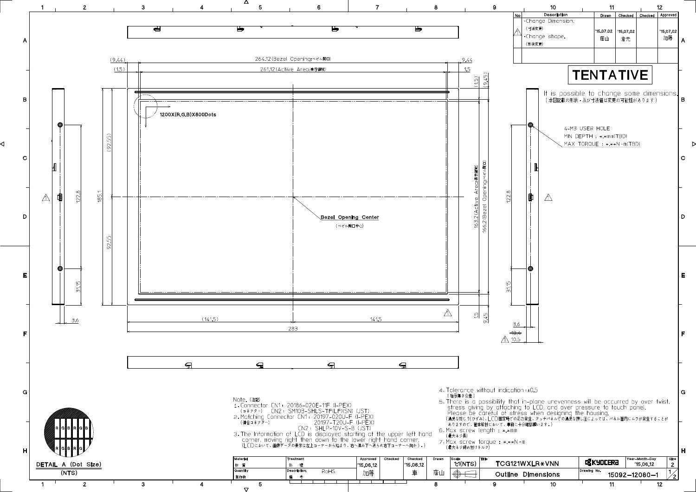

 $\triangledown$ 

◁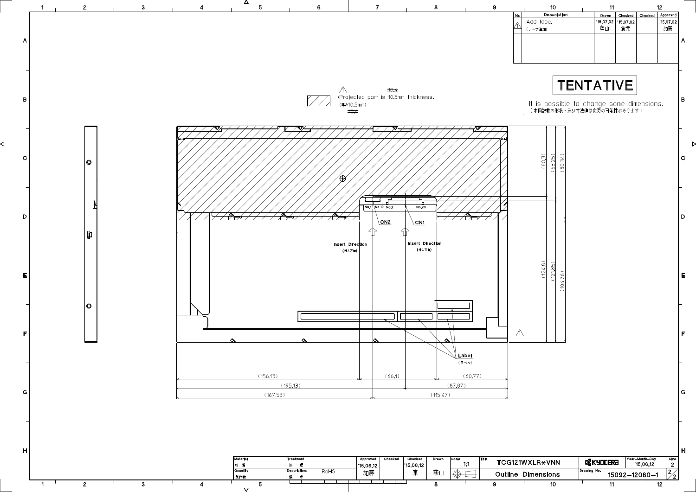

 $\triangledown$ 

| 10                                                                       | 11               |               |                | 12                           |             |
|--------------------------------------------------------------------------|------------------|---------------|----------------|------------------------------|-------------|
| <b>Description</b>                                                       | <b>Drawn</b>     | Checked       | Checked        | Approved                     |             |
| Add tape.                                                                | '15,07,02<br>蔭山  | '15.07.02     |                | '15,07,02                    |             |
| (テープ追加)                                                                  |                  | 倉元            |                | 加藤                           |             |
|                                                                          |                  |               |                |                              | A           |
|                                                                          |                  |               |                |                              |             |
|                                                                          |                  |               |                |                              |             |
|                                                                          |                  |               |                |                              |             |
|                                                                          |                  |               |                |                              |             |
|                                                                          | <b>TENTATIVE</b> |               |                |                              |             |
|                                                                          |                  |               |                |                              |             |
|                                                                          |                  |               |                |                              | B           |
| It is possible to change some dimensions.<br>(本図記載の形状・及び寸法値は変更の可能性があります) |                  |               |                |                              |             |
|                                                                          |                  |               |                |                              |             |
|                                                                          |                  |               |                |                              |             |
|                                                                          |                  |               |                |                              |             |
|                                                                          |                  |               |                |                              |             |
|                                                                          |                  |               |                |                              |             |
|                                                                          |                  |               |                |                              | $\mathbf C$ |
| (60.3)<br>80.34<br>63.25                                                 |                  |               |                |                              |             |
|                                                                          |                  |               |                |                              |             |
|                                                                          |                  |               |                |                              |             |
|                                                                          |                  |               |                |                              |             |
|                                                                          |                  |               |                |                              |             |
|                                                                          |                  |               |                |                              |             |
|                                                                          |                  |               |                |                              | D           |
|                                                                          |                  |               |                |                              |             |
|                                                                          |                  |               |                |                              |             |
|                                                                          |                  |               |                |                              |             |
|                                                                          |                  |               |                |                              |             |
|                                                                          |                  |               |                |                              |             |
| $\widehat{\infty}$<br>$\widehat{D}$                                      |                  |               |                |                              |             |
| (124.5)<br>121.8                                                         |                  |               |                |                              | E           |
| (104.76)                                                                 |                  |               |                |                              |             |
|                                                                          |                  |               |                |                              |             |
|                                                                          |                  |               |                |                              |             |
|                                                                          |                  |               |                |                              |             |
|                                                                          |                  |               |                |                              |             |
|                                                                          |                  |               |                |                              |             |
|                                                                          |                  |               |                |                              | F           |
|                                                                          |                  |               |                |                              |             |
|                                                                          |                  |               |                |                              |             |
|                                                                          |                  |               |                |                              |             |
|                                                                          |                  |               |                |                              |             |
|                                                                          |                  |               |                |                              |             |
|                                                                          |                  |               |                |                              |             |
|                                                                          |                  |               |                |                              | G           |
|                                                                          |                  |               |                |                              |             |
|                                                                          |                  |               |                |                              |             |
|                                                                          |                  |               |                |                              |             |
|                                                                          |                  |               |                |                              |             |
|                                                                          |                  |               |                |                              |             |
|                                                                          |                  |               |                |                              |             |
|                                                                          |                  |               |                |                              | H           |
|                                                                          |                  |               | Year-Month-Day | Size                         |             |
| <b>VXLR*VNN</b>                                                          | <b>Q</b> KYOCERA |               | '15.06.12      | $\mathbf{2}$                 |             |
| <b>Dimensions</b>                                                        | Drawing No.      | 15092-12080-1 |                | $\mathbf{2}$<br>$\mathbf{Z}$ |             |
| 10                                                                       | 11               |               |                | 12                           |             |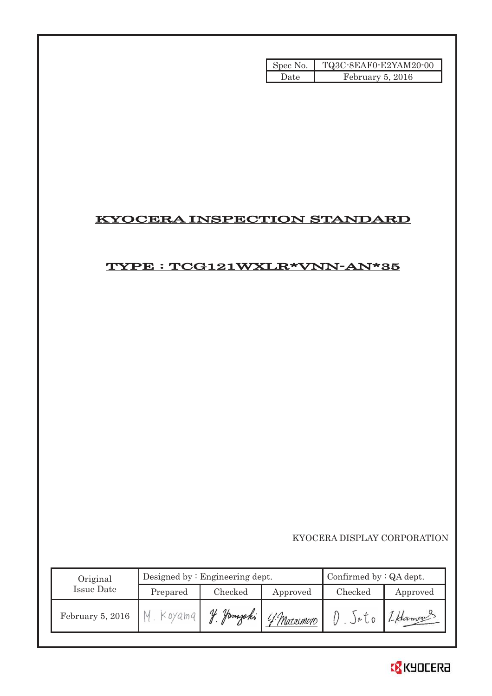| Spec No. | TQ3C-8EAF0-E2YAM20-00 |
|----------|-----------------------|
| Date     | February 5, 2016      |

# KYOCERA INSPECTION STANDARD

# TYPE : TCG121WXLR\*VNN-AN\*35

KYOCERA DISPLAY CORPORATION

| Original          |          | Designed by $:$ Engineering dept. | Confirmed by $:QA$ dept. |         |          |
|-------------------|----------|-----------------------------------|--------------------------|---------|----------|
| <b>Issue Date</b> | Prepared | Checked                           | Approved                 | Checked | Approved |
| February 5, 2016  | Koyama   | V<br>Jamazaki                     | 4 Matsumoto              | )eU     | 1-Hamon  |

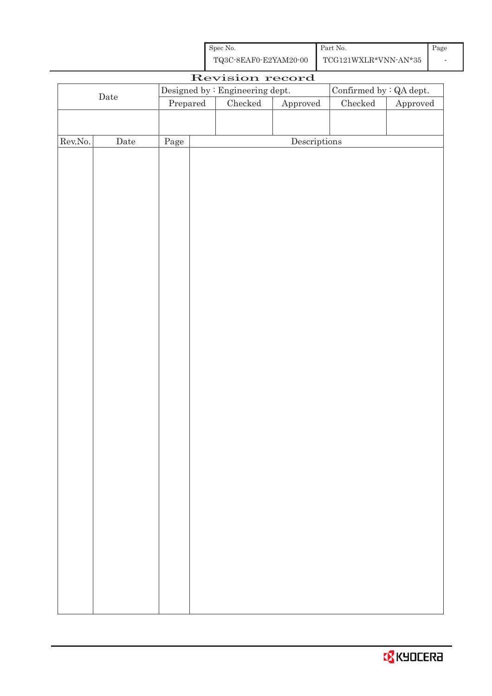| Spec No.              | Part No.             | Page |
|-----------------------|----------------------|------|
| TQ3C-8EAF0-E2YAM20-00 | TCG121WXLR*VNN-AN*35 |      |

| Revision record  |             |          |  |                                 |                                      |                                |          |
|------------------|-------------|----------|--|---------------------------------|--------------------------------------|--------------------------------|----------|
|                  |             |          |  | Designed by : Engineering dept. |                                      | Confirmed by $\colon$ QA dept. |          |
|                  | $\rm{Date}$ | Prepared |  | $\rm Checked$                   | ${\Large\bf Approved}$               | $\rm Checked$                  | Approved |
|                  |             |          |  |                                 |                                      |                                |          |
|                  |             |          |  |                                 |                                      |                                |          |
| ${\rm Rev. No.}$ | Date        | Page     |  |                                 | $\label{eq:2} \textbf{Descriptions}$ |                                |          |
|                  |             |          |  |                                 |                                      |                                |          |
|                  |             |          |  |                                 |                                      |                                |          |
|                  |             |          |  |                                 |                                      |                                |          |
|                  |             |          |  |                                 |                                      |                                |          |
|                  |             |          |  |                                 |                                      |                                |          |
|                  |             |          |  |                                 |                                      |                                |          |
|                  |             |          |  |                                 |                                      |                                |          |
|                  |             |          |  |                                 |                                      |                                |          |
|                  |             |          |  |                                 |                                      |                                |          |
|                  |             |          |  |                                 |                                      |                                |          |
|                  |             |          |  |                                 |                                      |                                |          |
|                  |             |          |  |                                 |                                      |                                |          |
|                  |             |          |  |                                 |                                      |                                |          |
|                  |             |          |  |                                 |                                      |                                |          |
|                  |             |          |  |                                 |                                      |                                |          |
|                  |             |          |  |                                 |                                      |                                |          |
|                  |             |          |  |                                 |                                      |                                |          |
|                  |             |          |  |                                 |                                      |                                |          |
|                  |             |          |  |                                 |                                      |                                |          |
|                  |             |          |  |                                 |                                      |                                |          |
|                  |             |          |  |                                 |                                      |                                |          |
|                  |             |          |  |                                 |                                      |                                |          |
|                  |             |          |  |                                 |                                      |                                |          |
|                  |             |          |  |                                 |                                      |                                |          |
|                  |             |          |  |                                 |                                      |                                |          |
|                  |             |          |  |                                 |                                      |                                |          |
|                  |             |          |  |                                 |                                      |                                |          |
|                  |             |          |  |                                 |                                      |                                |          |
|                  |             |          |  |                                 |                                      |                                |          |
|                  |             |          |  |                                 |                                      |                                |          |
|                  |             |          |  |                                 |                                      |                                |          |
|                  |             |          |  |                                 |                                      |                                |          |
|                  |             |          |  |                                 |                                      |                                |          |
|                  |             |          |  |                                 |                                      |                                |          |
|                  |             |          |  |                                 |                                      |                                |          |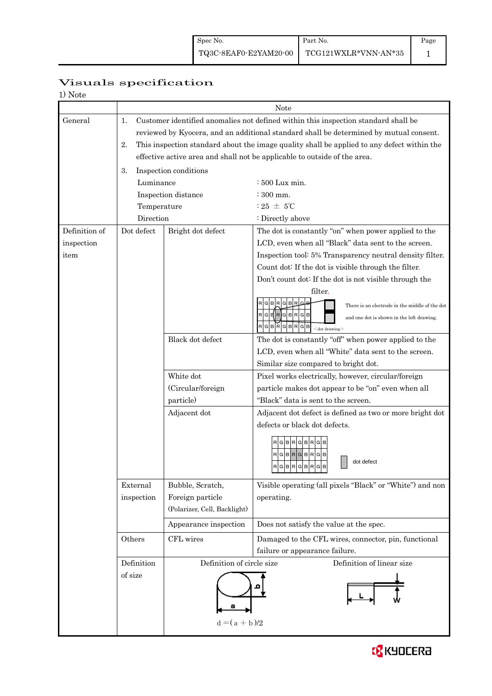# Page

## 1

# Visuals specification

| <b>Note</b> |  |
|-------------|--|
|-------------|--|

|               | Note                                                                                     |                                                                                            |                                                                                 |  |  |  |
|---------------|------------------------------------------------------------------------------------------|--------------------------------------------------------------------------------------------|---------------------------------------------------------------------------------|--|--|--|
| General       | 1.<br>Customer identified anomalies not defined within this inspection standard shall be |                                                                                            |                                                                                 |  |  |  |
|               |                                                                                          | reviewed by Kyocera, and an additional standard shall be determined by mutual consent.     |                                                                                 |  |  |  |
|               | 2.                                                                                       | This inspection standard about the image quality shall be applied to any defect within the |                                                                                 |  |  |  |
|               |                                                                                          | effective active area and shall not be applicable to outside of the area.                  |                                                                                 |  |  |  |
|               | 3.                                                                                       | Inspection conditions                                                                      |                                                                                 |  |  |  |
|               | Luminance                                                                                |                                                                                            | $:500$ Lux min.                                                                 |  |  |  |
|               | Inspection distance                                                                      |                                                                                            | $\div$ 300 mm.                                                                  |  |  |  |
|               | Temperature                                                                              |                                                                                            | : 25 $\pm$ 5°C                                                                  |  |  |  |
|               | Direction                                                                                |                                                                                            | : Directly above                                                                |  |  |  |
| Definition of | Dot defect                                                                               | Bright dot defect                                                                          | The dot is constantly "on" when power applied to the                            |  |  |  |
| inspection    |                                                                                          |                                                                                            | LCD, even when all "Black" data sent to the screen.                             |  |  |  |
| item          |                                                                                          |                                                                                            | Inspection tool: 5% Transparency neutral density filter.                        |  |  |  |
|               |                                                                                          |                                                                                            | Count dot: If the dot is visible through the filter.                            |  |  |  |
|               |                                                                                          |                                                                                            | Don't count dot: If the dot is not visible through the                          |  |  |  |
|               |                                                                                          |                                                                                            | filter.                                                                         |  |  |  |
|               |                                                                                          |                                                                                            | GBRGB<br>There is an electrode in the middle of the dot                         |  |  |  |
|               |                                                                                          |                                                                                            | $G$ $B$ $R$ $G$ $B$ $R$<br>$G$ $B$<br>and one dot is shown in the left drawing. |  |  |  |
|               |                                                                                          |                                                                                            | RGBRGBRGB<br>$<$ dot drawing $>$                                                |  |  |  |
|               |                                                                                          | Black dot defect                                                                           | The dot is constantly "off" when power applied to the                           |  |  |  |
|               |                                                                                          |                                                                                            | LCD, even when all "White" data sent to the screen.                             |  |  |  |
|               |                                                                                          |                                                                                            | Similar size compared to bright dot.                                            |  |  |  |
|               |                                                                                          | White dot                                                                                  | Pixel works electrically, however, circular/foreign                             |  |  |  |
|               |                                                                                          | (Circular/foreign                                                                          | particle makes dot appear to be "on" even when all                              |  |  |  |
|               |                                                                                          | particle)                                                                                  | "Black" data is sent to the screen.                                             |  |  |  |
|               |                                                                                          | Adjacent dot                                                                               | Adjacent dot defect is defined as two or more bright dot                        |  |  |  |
|               |                                                                                          |                                                                                            | defects or black dot defects.                                                   |  |  |  |
|               |                                                                                          |                                                                                            | R G B R G B R<br>RGBRGBRG                                                       |  |  |  |
|               |                                                                                          |                                                                                            | dot defect<br>R G B R G B R<br>G B                                              |  |  |  |
|               | External                                                                                 | Bubble, Scratch,                                                                           | Visible operating (all pixels "Black" or "White") and non                       |  |  |  |
|               | inspection                                                                               | Foreign particle                                                                           | operating.                                                                      |  |  |  |
|               |                                                                                          | (Polarizer, Cell, Backlight)                                                               |                                                                                 |  |  |  |
|               |                                                                                          | Appearance inspection                                                                      | Does not satisfy the value at the spec.                                         |  |  |  |
|               | Others                                                                                   | CFL wires                                                                                  | Damaged to the CFL wires, connector, pin, functional                            |  |  |  |
|               |                                                                                          |                                                                                            | failure or appearance failure.                                                  |  |  |  |
|               | Definition                                                                               | Definition of circle size                                                                  | Definition of linear size                                                       |  |  |  |
|               | of size                                                                                  | $d = (a + b)/2$                                                                            |                                                                                 |  |  |  |
|               |                                                                                          |                                                                                            |                                                                                 |  |  |  |